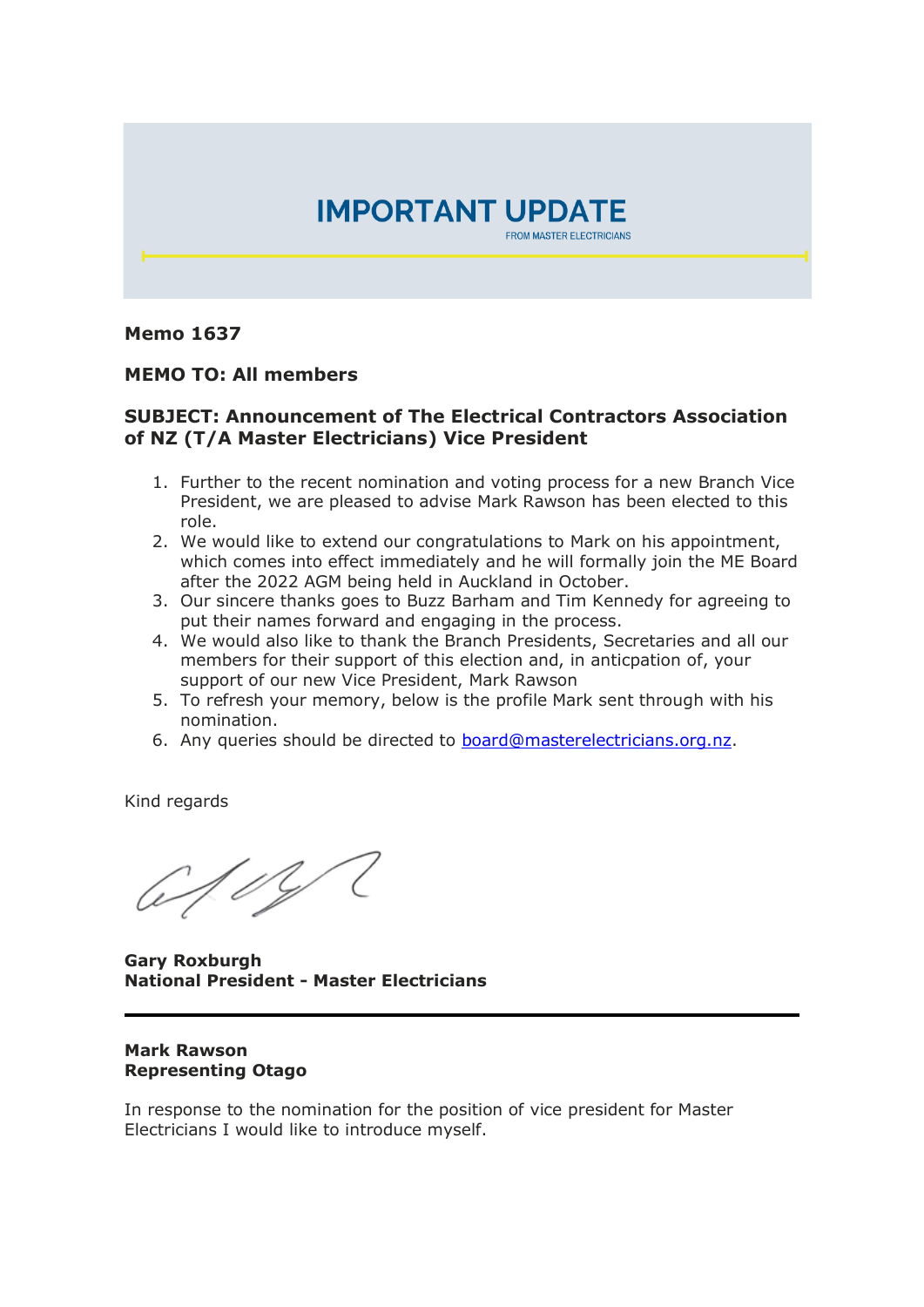

## **Memo 1637**

## **MEMO TO: All members**

## **SUBJECT: Announcement of The Electrical Contractors Association of NZ (T/A Master Electricians) Vice President**

- 1. Further to the recent nomination and voting process for a new Branch Vice President, we are pleased to advise Mark Rawson has been elected to this role.
- 2. We would like to extend our congratulations to Mark on his appointment, which comes into effect immediately and he will formally join the ME Board after the 2022 AGM being held in Auckland in October.
- 3. Our sincere thanks goes to Buzz Barham and Tim Kennedy for agreeing to put their names forward and engaging in the process.
- 4. We would also like to thank the Branch Presidents, Secretaries and all our members for their support of this election and, in anticpation of, your support of our new Vice President, Mark Rawson
- 5. To refresh your memory, below is the profile Mark sent through with his nomination.
- 6. Any queries should be directed to [board@masterelectricians.org.nz.](mailto:board@masterelectricians.org.nz)

Kind regards

1.0YC

**Gary Roxburgh National President - Master Electricians**

## **Mark Rawson Representing Otago**

In response to the nomination for the position of vice president for Master Electricians I would like to introduce myself.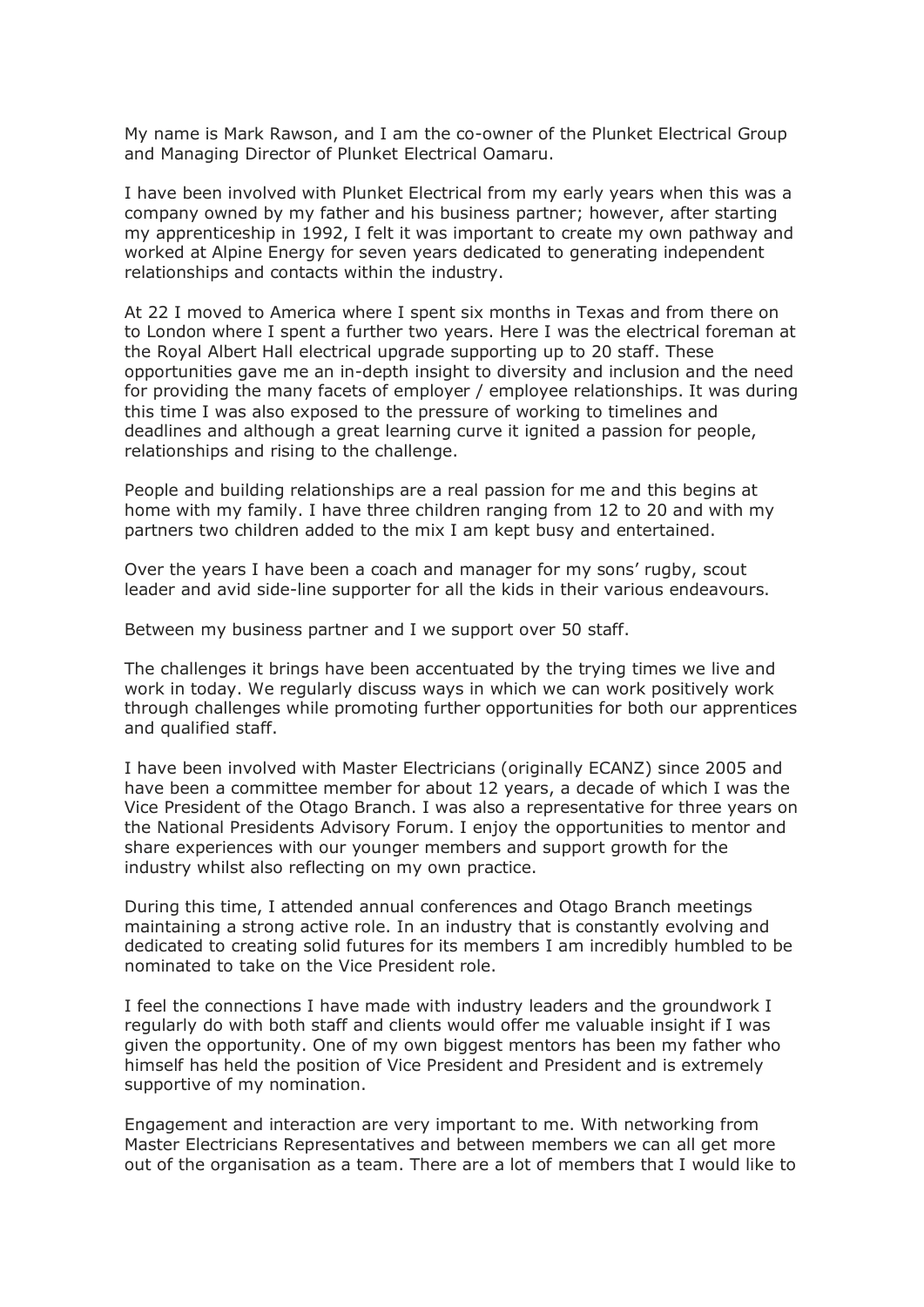My name is Mark Rawson, and I am the co-owner of the Plunket Electrical Group and Managing Director of Plunket Electrical Oamaru.

I have been involved with Plunket Electrical from my early years when this was a company owned by my father and his business partner; however, after starting my apprenticeship in 1992, I felt it was important to create my own pathway and worked at Alpine Energy for seven years dedicated to generating independent relationships and contacts within the industry.

At 22 I moved to America where I spent six months in Texas and from there on to London where I spent a further two years. Here I was the electrical foreman at the Royal Albert Hall electrical upgrade supporting up to 20 staff. These opportunities gave me an in-depth insight to diversity and inclusion and the need for providing the many facets of employer / employee relationships. It was during this time I was also exposed to the pressure of working to timelines and deadlines and although a great learning curve it ignited a passion for people, relationships and rising to the challenge.

People and building relationships are a real passion for me and this begins at home with my family. I have three children ranging from 12 to 20 and with my partners two children added to the mix I am kept busy and entertained.

Over the years I have been a coach and manager for my sons' rugby, scout leader and avid side-line supporter for all the kids in their various endeavours.

Between my business partner and I we support over 50 staff.

The challenges it brings have been accentuated by the trying times we live and work in today. We regularly discuss ways in which we can work positively work through challenges while promoting further opportunities for both our apprentices and qualified staff.

I have been involved with Master Electricians (originally ECANZ) since 2005 and have been a committee member for about 12 years, a decade of which I was the Vice President of the Otago Branch. I was also a representative for three years on the National Presidents Advisory Forum. I enjoy the opportunities to mentor and share experiences with our younger members and support growth for the industry whilst also reflecting on my own practice.

During this time, I attended annual conferences and Otago Branch meetings maintaining a strong active role. In an industry that is constantly evolving and dedicated to creating solid futures for its members I am incredibly humbled to be nominated to take on the Vice President role.

I feel the connections I have made with industry leaders and the groundwork I regularly do with both staff and clients would offer me valuable insight if I was given the opportunity. One of my own biggest mentors has been my father who himself has held the position of Vice President and President and is extremely supportive of my nomination.

Engagement and interaction are very important to me. With networking from Master Electricians Representatives and between members we can all get more out of the organisation as a team. There are a lot of members that I would like to